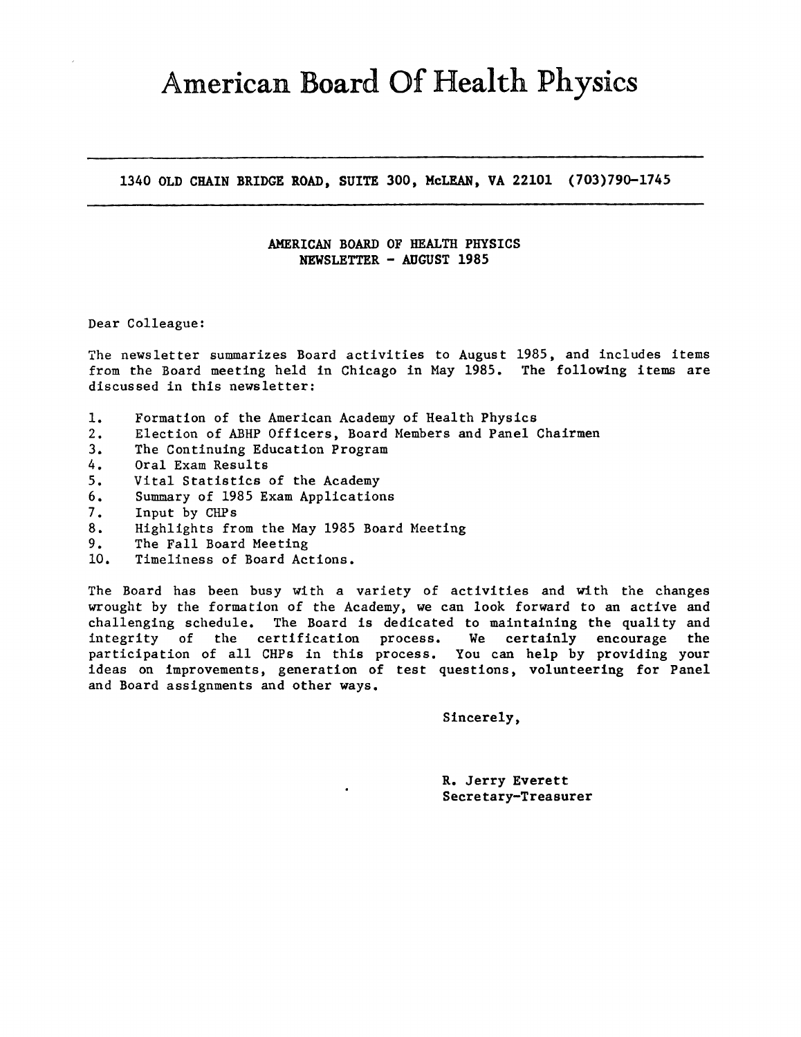# American Board Of Health Physics

**1340 OLD CHAIN BRIDGE ROAD, SUITE 300, McLEAN, VA 22101 (703)790-1745** 

# **AMERICAN BOARD OF HEALTH PHYSICS NEWSLETTER** - **AUGUST 1985**

### Dear Colleague:

The newsletter summarizes Board activities to August 1985, and includes items from the Board meeting held in Chicago in May 1985. The following items are discussed in this newsletter:

- 1. Formation of the American Academy of Health Physics
- 2. Election of ABHP Officers, Board Members and Panel Chairmen
- 3. The Continuing Education Program
- 4. Oral Exam Results
- 5. Vital Statistics of the Academy
- 6. Summary of 1985 Exam Applications
- 7. Input by CHPs
- 8. Highlights from the May 1985 Board Meeting
- 9. The Fall Board Meeting
- 10. Timeliness of Board Actions.

The Board has been busy with a variety of activities and with the changes wrought by the formation of the Academy, we can look forward to an active and challenging schedule. The Board is dedicated to maintaining the quality and integrity of the certification process. We certainly encourage the participation of all CHPs in this process. You can help by providing your ideas on improvements, generation of test questions, volunteering for Panel and Board assignments and other ways.

Sincerely,

R. Jerry Everett Secretary-Treasurer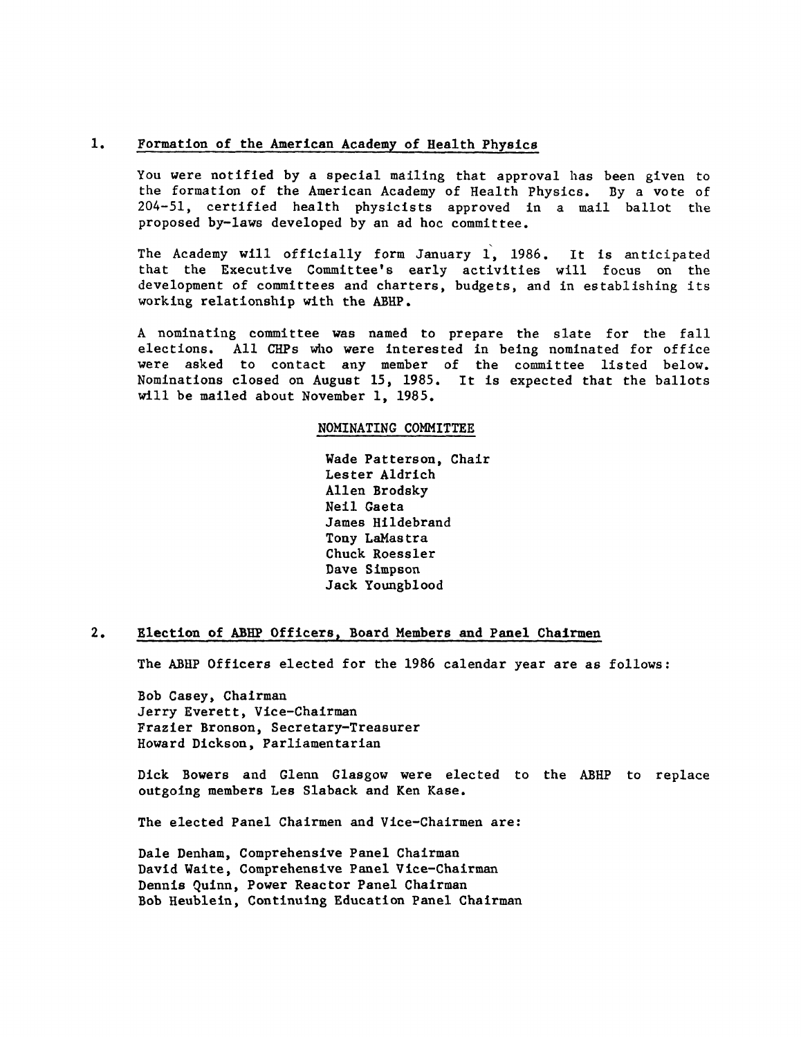#### 1. Formation of the American Academy of Health Physics

You were notified by a special mailing that approval has been given to the formation of the American Academy of Health Physics. By a vote of 204-51, certified health physicists approved in a mail ballot the proposed by-laws developed by an ad hoc committee.

The Academy will officially form January 1, 1986. It is anticipated that the Executive Committee's early activities will focus on the development of committees and charters, budgets, and in establishing its working relationship with the ABHP.

A nominating committee was named to prepare the slate for the fall elections. All CHPs who **were** interested in being nominated for office were asked to contact any member of the committee listed below. Nominations closed on August 15, 1985. It is expected that the ballots will be mailed about November 1, 1985.

### **NOMINATING COMMITTEE**

Wade Patterson, Chair Lester Aldrich Allen Brodsky Neil Gaeta James Hildebrand Tony LaMastra Chuck Roessler Dave Simpson Jack Youngblood

#### **2. Election of ABHP Officers, Board Members and Panel Chairmen**

The ABHP Officers elected for the 1986 calendar year are as follows:

Bob Casey, Chairman Jerry Everett, Vice-Chairman Frazier Bronson, Secretary-Treasurer Howard Dickson, Parliamentarian

Dick Bowers and Glenn Glasgow were elected to the ABHP to replace outgoing members Les Slaback and Ken Kase.

The elected Panel Chairmen and Vice-Chairmen are:

Dale Denham, Comprehensive Panel Chairman David Waite, Comprehensive Panel Vice-Chairman Dennis Quinn, Power Reactor Panel Chairman Bob Heublein, Continuing Education Panel Chairman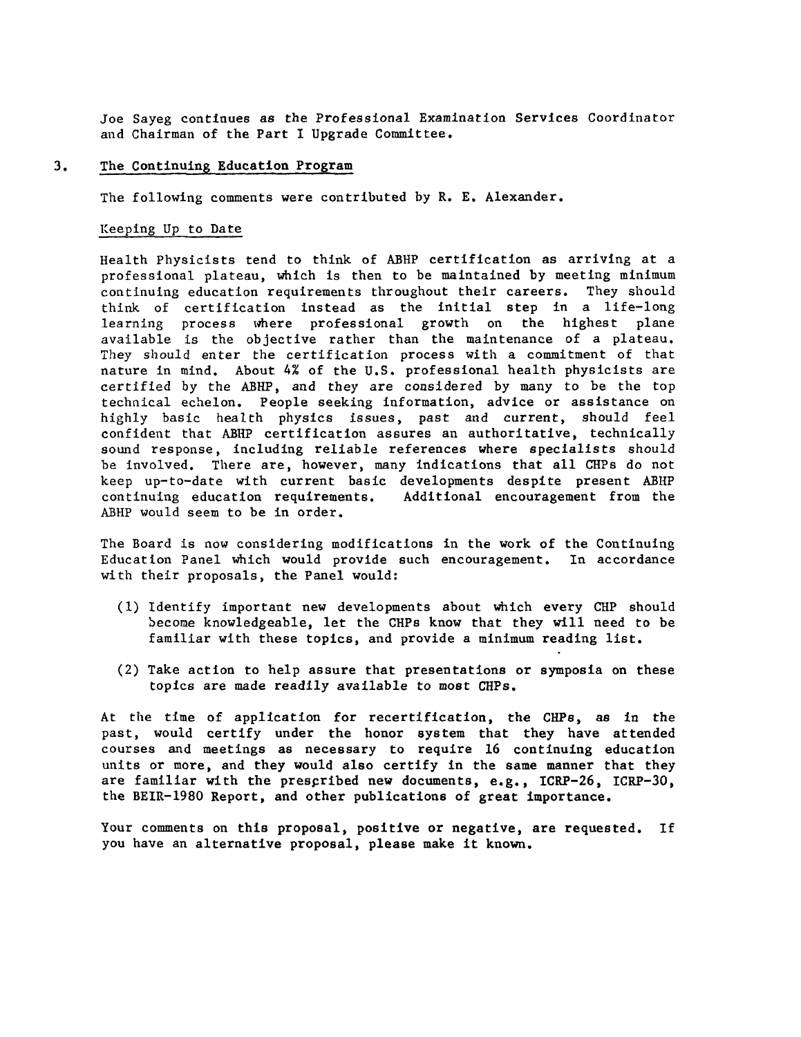Joe Sayeg continues as the Professional Examination Services Coordinator and Chairman of the Part I Upgrade Committee.

#### 3. The Continuing Education **Program**

The following comments were contributed by R. E. Alexander.

## Keeping Up to Date

Health Physicists tend to think of ABHP certification as arriving at a professional plateau, which is then to be maintained by meeting minimum continuing education requirements throughout their careers. They should think of certification instead as the initial step in a life-long learning process where professional growth on the highest plane available is the objective rather than the maintenance of a plateau. They should enter the certification process with a commitment of that nature in mind. About 4% of the U.S. professional health physicists are certified by the ABHP, and they are considered by many to be the top technical echelon. People seeking information, advice or assistance on highly basic health physics issues, past and current, should feel confident that ABHP certification assures an authoritative, technically sowid response, including reliable references where specialists should be involved. There are, however, many indications that all CHPs do not keep up-to-date with current basic developments despite present ABHP<br>continuing education requirements. Additional encouragement from the continuing education requirements. ABHP would seem to be in order.

The Board is now considering modifications in the work of the Continuing Education Panel which would provide such encouragement. In accordance with their proposals, the Panel would:

- ( 1) Identify important new developments about which every CHP should become knowledgeable, let the CHPs know that they will need to be familiar with these topics, and provide a minimum reading list.
- (2) Take action to help assure that presentations or symposia on these topics are made readily available to most CHPs.

At the time of application for recertification, the CHPs, as in the past, would certify under the honor system that they have attended courses and meetings as necessary to require 16 continuing education units or more, and they would also certify in the same manner that they are familiar with the prescribed new documents, e.g., ICRP-26, ICRP-30, the BEIR-1980 Report, and other publications of great importance.

Your comments on this proposal, positive or negative, are requested. If you have an alternative proposal, please make it known.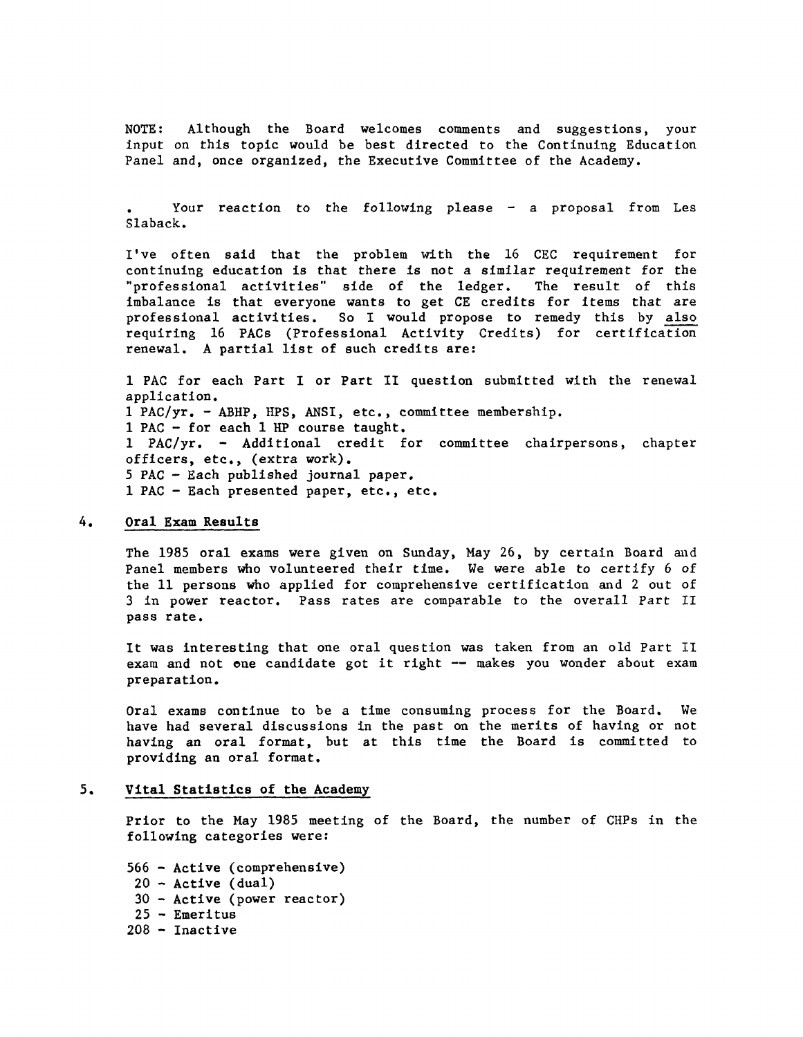NOTE: Although the Board welcomes comments and suggestions, your input on this topic would be best directed to the Continuing Education Panel and, once organized, the Executive Committee of the Academy.

Your reaction to the following please - a proposal from Les Slaback.

I've often said that the problem with the 16 CEC requirement for continuing education is that there is not a similar requirement for the<br>"professional activities" side of the ledger. The result of this "professional activities" side of the ledger. imbalance is that everyone wants to get CE credits for items that are professional activities. So I would propose to remedy this by also requiring 16 PACs (Professional Activity Credits) for certification renewal. A partial list of such credits are:

1 PAC for each Part I or Part II question submitted with the renewal application. 1 PAC/yr. - ABHP, RPS, ANSI, etc., committee membership. 1 PAC - for each 1 HP course taught. 1 PAC/yr. - Additional credit for committee chairpersons, chapter officers, etc., (extra work). *5* PAC Each published journal paper. 1 PAC - Each presented paper, etc., etc.

# 4. **Oral Exam Results**

The 1985 oral exams were given on Sunday, May 26, by certain Board and Panel members who volunteered their time. We were able to certify 6 of the 11 persons who applied for comprehensive certification and 2 out of 3 in power reactor. Pass rates are comparable to the overall Part II pass rate.

It was interesting that one oral question was taken from an old Part II exam and not one candidate got it right -- makes you wonder about exam preparation.

Oral exams continue to be a time consuming process for the Board. We have had several discussions in the past on the merits of having or not having an oral format, but at this time the Board is committed to providing an oral format.

# 5. Vital Statistics of the Academy

Prior to the May 1985 meeting of the Board, the number of CHPs in the following categories were:

566 - Active (comprehensive)  $20$  - Active (dual) 30 - Active (power reactor) 25 - Emeritus 208 - Inactive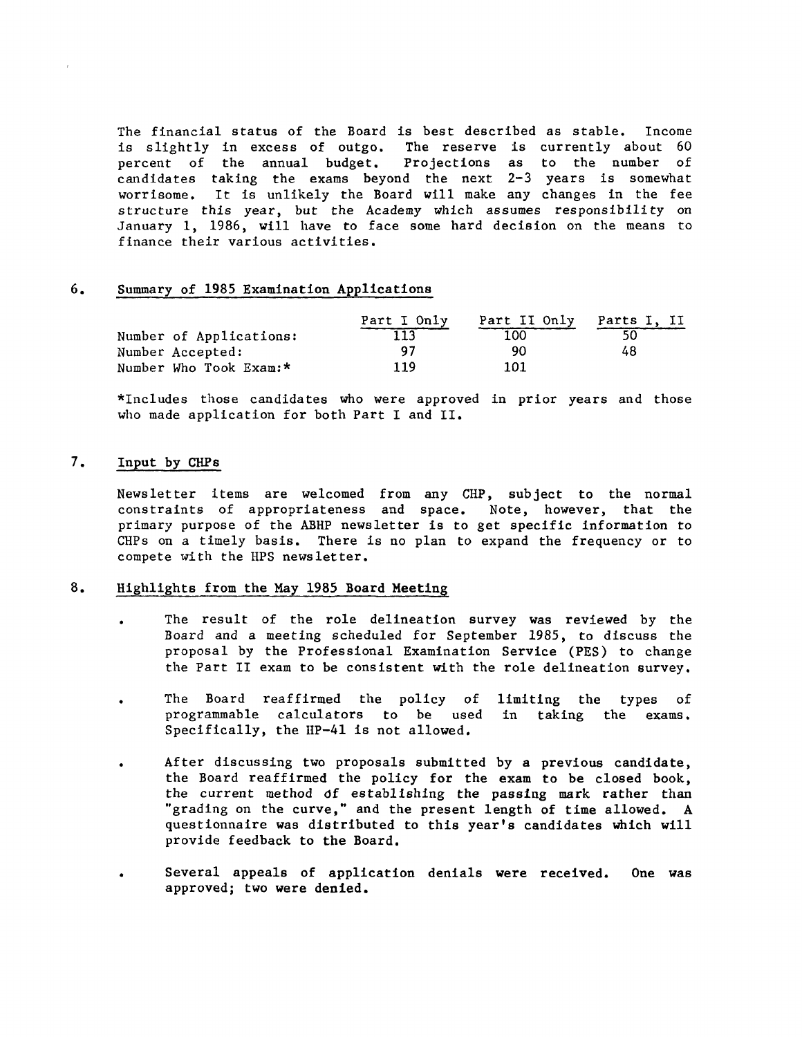The financial status of the Board is best described as stable. Income is slightly in excess of outgo. The reserve is currently about 60 percent of the annual budget. Projections as to the number of candidates taking the exams beyond the next 2-3 years is somewhat worrisome. It is unlikely the Board will make any changes in the fee structure this year, but the Academy which assumes responsibility on January 1, 1986, will have to face some hard decision on the means to finance their various activities.

### 6. Summary of 1985 Examination Applications

|                         | Part I Only | Part II Only | Parts I. II |
|-------------------------|-------------|--------------|-------------|
| Number of Applications: |             | 100          |             |
| Number Accepted:        | 97          | 90           | 48          |
| Number Who Took Exam:*  | 119         | 101          |             |

\*Includes those candidates who were approved in prior years and those who made application for both Part I and II.

### 7. Input by CHPs

Newsletter items are welcomed from any CHP, subject to the normal constraints of appropriateness and space. Note, however, that the primary purpose of the ABHP newsletter is to get specific information to CHPs on a timely basis. There is no plan to expand the frequency or to compete with the HPS newsletter.

### 8. Highlights from the May 1985 Board **Meeting**

- The result of the role delineation survey was reviewed by the Board and a meeting scheduled for September 1985, to discuss the proposal by the Professional Examination Service (PES) to change the Part II exam to be consistent with the role delineation survey.
- The Board reaffirmed the policy of programmable calculators to be used in taking Specifically, the IIP-41 is not allowed. limiting the types of exams.
- After discussing two proposals submitted by a previous candidate, the Board reaffirmed the policy for the exam to be closed book, the current method df establishing the passing mark rather than "grading on the curve," and the present length of time allowed. A questionnaire was distributed to this year's candidates which will provide feedback to the Board.
- Several appeals of application denials were received. approved; two were denied. One was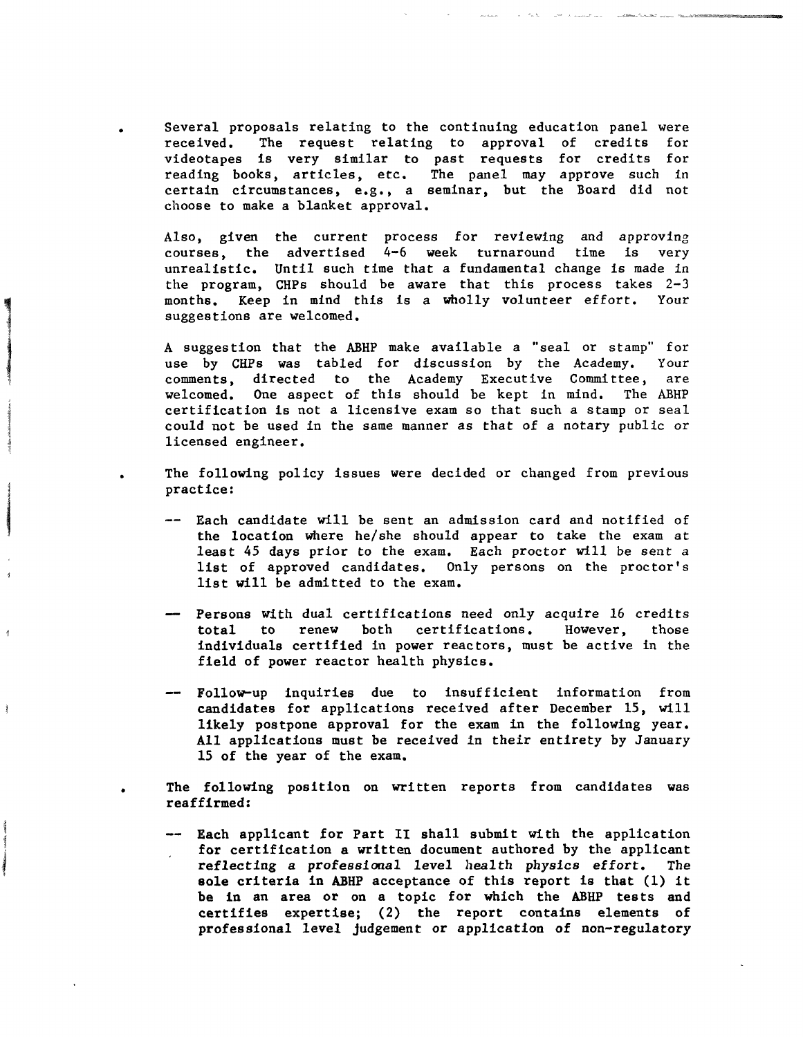Several proposals relating to the continuing education panel were received. The request relating to approval of credits for videotapes is very similar to past requests for credits for reading books, articles, etc. The panel may approve such in certain circumstances, e.g., a seminar, but the Board did not choose to make a blanket approval.

•

•

l

de la film de la film de la film de la film de la film de la film de la film de la film de la film de la film<br>La film de la film de la film de la film de la film de la film de la film de la film de la film de la film de

Ì

Also, given the current process for reviewing and approving courses, the advertised 4-6 week turnaround time is very unrealistic. Until such time that a fundamental change is made in the program, CHPs should be aware that this process takes 2-3 months. Keep in mind this is a wholly volunteer effort. Your suggestions are welcomed.

A suggestion that the ABHP make available a "seal or stamp" for use by CHPs was tabled for discussion by the Academy. Your comments, directed to the Academy Executive Committee, are welcomed. One aspect of this should be kept in mind. The ABHP certification is not a licensive exam so that such a stamp or seal could not be used in the same manner as that of a notary public or licensed engineer.

The following policy issues were decided or changed from previous practice:

- -- Each candidate will be sent an admission card and notified of the location where he/she should appear to take the exam at least 45 days prior to the exam. Each proctor will be sent *a*  list of approved candidates. Only persons on the proctor's list will be admitted to the exam.
- Persons with dual certifications need only acquire 16 credits renew both certifications. individuals certified in power reactors, must be active in the field of power reactor health physics.
- Follow-up inquiries due to insufficient information from candidates for applications received after December 15, will likely postpone approval for the exam in the following year. All applications must be received in their entirety by January 15 of the year of the exam.

The following position on written reports from candidates was reaffirmed:

-- Each applicant for Part II shall submit with the application for certification a written document authored by the applicant reflecting a professional level health physics effort. The **sole** criteria in ABHP acceptance of this report is that (1) it be in an area or on a topic for which the ABHP tests and certifies expertise; (2) the report contains elements of professional level judgement or application of non-regulatory